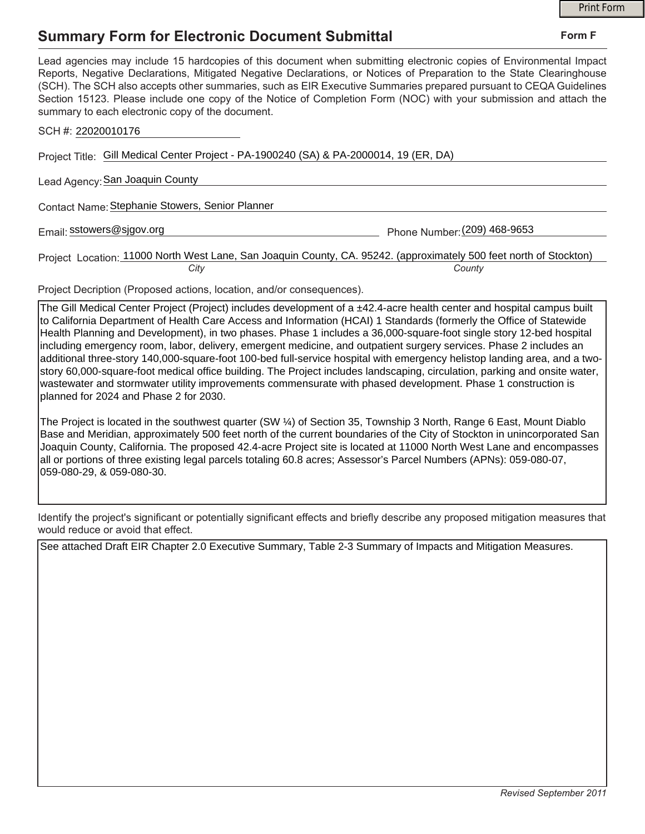## **Summary Form for Electronic Document Submittal**

|                                                                                                                                                                                                                                                                                                                                                                                                                                                                                                                                           | <b>Print Form</b> |
|-------------------------------------------------------------------------------------------------------------------------------------------------------------------------------------------------------------------------------------------------------------------------------------------------------------------------------------------------------------------------------------------------------------------------------------------------------------------------------------------------------------------------------------------|-------------------|
| Summary Form for Electronic Document Submittal                                                                                                                                                                                                                                                                                                                                                                                                                                                                                            | Form F            |
| Lead agencies may include 15 hardcopies of this document when submitting electronic copies of Environmental Impact<br>Reports, Negative Declarations, Mitigated Negative Declarations, or Notices of Preparation to the State Clearinghouse<br>(SCH). The SCH also accepts other summaries, such as EIR Executive Summaries prepared pursuant to CEQA Guidelines<br>Section 15123. Please include one copy of the Notice of Completion Form (NOC) with your submission and attach the<br>summary to each electronic copy of the document. |                   |
| SCH #: 22020010176                                                                                                                                                                                                                                                                                                                                                                                                                                                                                                                        |                   |
| Project Title: Gill Medical Center Project - PA-1900240 (SA) & PA-2000014, 19 (ER, DA)                                                                                                                                                                                                                                                                                                                                                                                                                                                    |                   |
| Lead Agency: San Joaquin County                                                                                                                                                                                                                                                                                                                                                                                                                                                                                                           |                   |
| Contact Name: Stephanie Stowers, Senior Planner                                                                                                                                                                                                                                                                                                                                                                                                                                                                                           |                   |
| Email: sstowers@sjgov.org<br>Phone Number: (209) 468-9653                                                                                                                                                                                                                                                                                                                                                                                                                                                                                 |                   |
| Project Location: 11000 North West Lane, San Joaquin County, CA. 95242. (approximately 500 feet north of Stockton)<br>City<br>County                                                                                                                                                                                                                                                                                                                                                                                                      |                   |

Project Decription (Proposed actions, location, and/or consequences).

The Gill Medical Center Project (Project) includes development of a ±42.4-acre health center and hospital campus built to California Department of Health Care Access and Information (HCAI) 1 Standards (formerly the Office of Statewide Health Planning and Development), in two phases. Phase 1 includes a 36,000-square-foot single story 12-bed hospital including emergency room, labor, delivery, emergent medicine, and outpatient surgery services. Phase 2 includes an additional three-story 140,000-square-foot 100-bed full-service hospital with emergency helistop landing area, and a twostory 60,000-square-foot medical office building. The Project includes landscaping, circulation, parking and onsite water, wastewater and stormwater utility improvements commensurate with phased development. Phase 1 construction is planned for 2024 and Phase 2 for 2030.

The Project is located in the southwest quarter (SW ¼) of Section 35, Township 3 North, Range 6 East, Mount Diablo Base and Meridian, approximately 500 feet north of the current boundaries of the City of Stockton in unincorporated San Joaquin County, California. The proposed 42.4-acre Project site is located at 11000 North West Lane and encompasses all or portions of three existing legal parcels totaling 60.8 acres; Assessor's Parcel Numbers (APNs): 059-080-07, 059-080-29, & 059-080-30.

Identify the project's significant or potentially significant effects and briefly describe any proposed mitigation measures that would reduce or avoid that effect.

See attached Draft EIR Chapter 2.0 Executive Summary, Table 2-3 Summary of Impacts and Mitigation Measures.